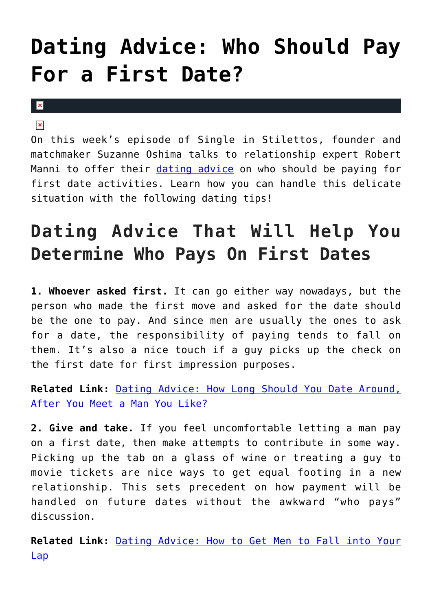## **[Dating Advice: Who Should Pay](https://cupidspulse.com/117990/dating-advice-who-pays-first-date/) [For a First Date?](https://cupidspulse.com/117990/dating-advice-who-pays-first-date/)**

## $\mathbf x$

## $\pmb{\times}$

On this week's episode of Single in Stilettos, founder and matchmaker Suzanne Oshima talks to relationship expert Robert Manni to offer their [dating advice](http://cupidspulse.com/relationship-experts/) on who should be paying for first date activities. Learn how you can handle this delicate situation with the following dating tips!

## **Dating Advice That Will Help You Determine Who Pays On First Dates**

**1. Whoever asked first.** It can go either way nowadays, but the person who made the first move and asked for the date should be the one to pay. And since men are usually the ones to ask for a date, the responsibility of paying tends to fall on them. It's also a nice touch if a guy picks up the check on the first date for first impression purposes.

**Related Link:** [Dating Advice: How Long Should You Date Around,](http://cupidspulse.com/117803/dating-advice-how-long-should-you-date/) [After You Meet a Man You Like?](http://cupidspulse.com/117803/dating-advice-how-long-should-you-date/)

**2. Give and take.** If you feel uncomfortable letting a man pay on a first date, then make attempts to contribute in some way. Picking up the tab on a glass of wine or treating a guy to movie tickets are nice ways to get equal footing in a new relationship. This sets precedent on how payment will be handled on future dates without the awkward "who pays" discussion.

**Related Link:** [Dating Advice: How to Get Men to Fall into Your](http://cupidspulse.com/117329/dating-advice-men-fall-your-lap/) [Lap](http://cupidspulse.com/117329/dating-advice-men-fall-your-lap/)